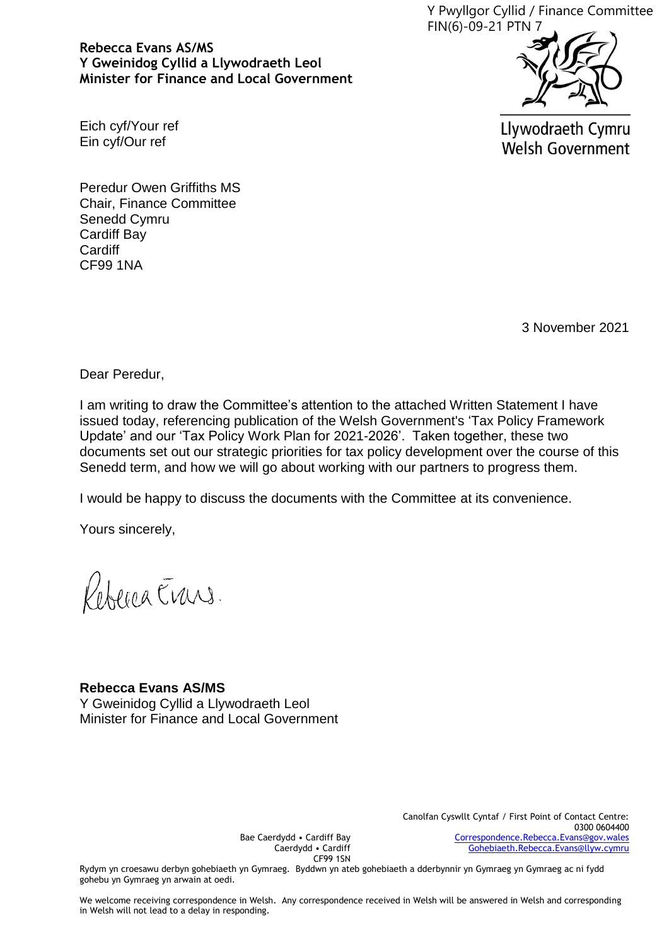Y Pwyllgor Cyllid / Finance Committee FIN(6)-09-21 PTN 7

**Rebecca Evans AS/MS Y Gweinidog Cyllid a Llywodraeth Leol Minister for Finance and Local Government**



Llywodraeth Cymru **Welsh Government** 

Eich cyf/Your ref Ein cyf/Our ref

Peredur Owen Griffiths MS Chair, Finance Committee Senedd Cymru Cardiff Bay **Cardiff** CF99 1NA

3 November 2021

Dear Peredur,

I am writing to draw the Committee's attention to the attached Written Statement I have issued today, referencing publication of the Welsh Government's 'Tax Policy Framework Update' and our 'Tax Policy Work Plan for 2021-2026'. Taken together, these two documents set out our strategic priorities for tax policy development over the course of this Senedd term, and how we will go about working with our partners to progress them.

I would be happy to discuss the documents with the Committee at its convenience.

Yours sincerely,

Refered Erans.

## **Rebecca Evans AS/MS**

Y Gweinidog Cyllid a Llywodraeth Leol Minister for Finance and Local Government

> Canolfan Cyswllt Cyntaf / First Point of Contact Centre: 0300 0604400 [Correspondence.Rebecca.Evans@gov.wales](mailto:Correspondence.Rebecca.Evans@gov.wales) [Gohebiaeth.Rebecca.Evans@llyw.cymru](mailto:Gohebiaeth.Rebecca.Evans@llyw.cymru)

Bae Caerdydd • Cardiff Bay Caerdydd • Cardiff CF99 1SN

Rydym yn croesawu derbyn gohebiaeth yn Gymraeg. Byddwn yn ateb gohebiaeth a dderbynnir yn Gymraeg yn Gymraeg ac ni fydd gohebu yn Gymraeg yn arwain at oedi.

We welcome receiving correspondence in Welsh. Any correspondence received in Welsh will be answered in Welsh and corresponding in Welsh will not lead to a delay in responding.